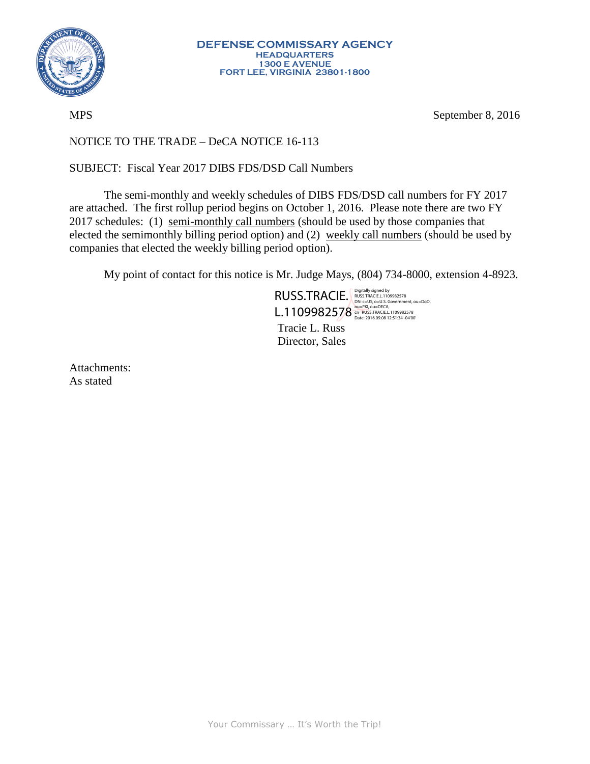

MPS September 8, 2016

## NOTICE TO THE TRADE – DeCA NOTICE 16-113

## SUBJECT: Fiscal Year 2017 DIBS FDS/DSD Call Numbers

The semi-monthly and weekly schedules of DIBS FDS/DSD call numbers for FY 2017 are attached. The first rollup period begins on October 1, 2016. Please note there are two FY 2017 schedules: (1) semi-monthly call numbers (should be used by those companies that elected the semimonthly billing period option) and (2) weekly call numbers (should be used by companies that elected the weekly billing period option).

My point of contact for this notice is Mr. Judge Mays, (804) 734-8000, extension 4-8923.

Tracie L. Russ Director, Sales RUSS.TRACIE. Rigitally signed by and DSS.TRACIE. Rightally signed by and DSD.TRACIE. L.1109982578 OU=PKI, OU=DECA, COL.1109982578

Attachments: As stated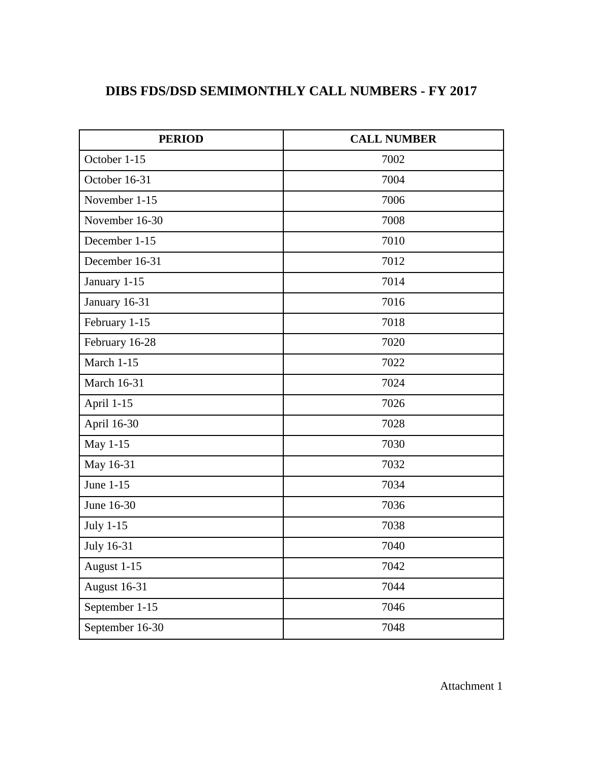## **DIBS FDS/DSD SEMIMONTHLY CALL NUMBERS - FY 2017**

| <b>PERIOD</b>       | <b>CALL NUMBER</b> |  |
|---------------------|--------------------|--|
| October 1-15        | 7002               |  |
| October 16-31       | 7004               |  |
| November 1-15       | 7006               |  |
| November 16-30      | 7008               |  |
| December 1-15       | 7010               |  |
| December 16-31      | 7012               |  |
| January 1-15        | 7014               |  |
| January 16-31       | 7016               |  |
| February 1-15       | 7018               |  |
| February 16-28      | 7020               |  |
| March 1-15          | 7022               |  |
| <b>March 16-31</b>  | 7024               |  |
| April 1-15          | 7026               |  |
| April 16-30         | 7028               |  |
| May 1-15            | 7030               |  |
| May 16-31           | 7032               |  |
| June 1-15           | 7034               |  |
| June 16-30          | 7036               |  |
| July 1-15           | 7038               |  |
| July 16-31          | 7040               |  |
| August 1-15         | 7042               |  |
| <b>August 16-31</b> | 7044               |  |
| September 1-15      | 7046               |  |
| September 16-30     | 7048               |  |

Attachment 1